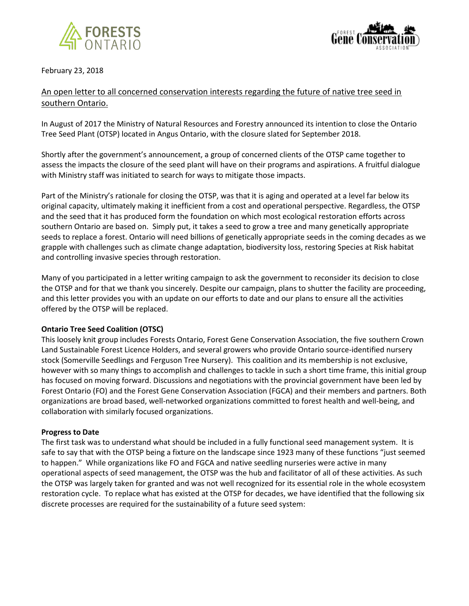



February 23, 2018

## An open letter to all concerned conservation interests regarding the future of native tree seed in southern Ontario.

In August of 2017 the Ministry of Natural Resources and Forestry announced its intention to close the Ontario Tree Seed Plant (OTSP) located in Angus Ontario, with the closure slated for September 2018.

Shortly after the government's announcement, a group of concerned clients of the OTSP came together to assess the impacts the closure of the seed plant will have on their programs and aspirations. A fruitful dialogue with Ministry staff was initiated to search for ways to mitigate those impacts.

Part of the Ministry's rationale for closing the OTSP, was that it is aging and operated at a level far below its original capacity, ultimately making it inefficient from a cost and operational perspective. Regardless, the OTSP and the seed that it has produced form the foundation on which most ecological restoration efforts across southern Ontario are based on. Simply put, it takes a seed to grow a tree and many genetically appropriate seeds to replace a forest. Ontario will need billions of genetically appropriate seeds in the coming decades as we grapple with challenges such as climate change adaptation, biodiversity loss, restoring Species at Risk habitat and controlling invasive species through restoration.

Many of you participated in a letter writing campaign to ask the government to reconsider its decision to close the OTSP and for that we thank you sincerely. Despite our campaign, plans to shutter the facility are proceeding, and this letter provides you with an update on our efforts to date and our plans to ensure all the activities offered by the OTSP will be replaced.

## **Ontario Tree Seed Coalition (OTSC)**

This loosely knit group includes Forests Ontario, Forest Gene Conservation Association, the five southern Crown Land Sustainable Forest Licence Holders, and several growers who provide Ontario source-identified nursery stock (Somerville Seedlings and Ferguson Tree Nursery). This coalition and its membership is not exclusive, however with so many things to accomplish and challenges to tackle in such a short time frame, this initial group has focused on moving forward. Discussions and negotiations with the provincial government have been led by Forest Ontario (FO) and the Forest Gene Conservation Association (FGCA) and their members and partners. Both organizations are broad based, well-networked organizations committed to forest health and well-being, and collaboration with similarly focused organizations.

## **Progress to Date**

The first task was to understand what should be included in a fully functional seed management system. It is safe to say that with the OTSP being a fixture on the landscape since 1923 many of these functions "just seemed to happen." While organizations like FO and FGCA and native seedling nurseries were active in many operational aspects of seed management, the OTSP was the hub and facilitator of all of these activities. As such the OTSP was largely taken for granted and was not well recognized for its essential role in the whole ecosystem restoration cycle. To replace what has existed at the OTSP for decades, we have identified that the following six discrete processes are required for the sustainability of a future seed system: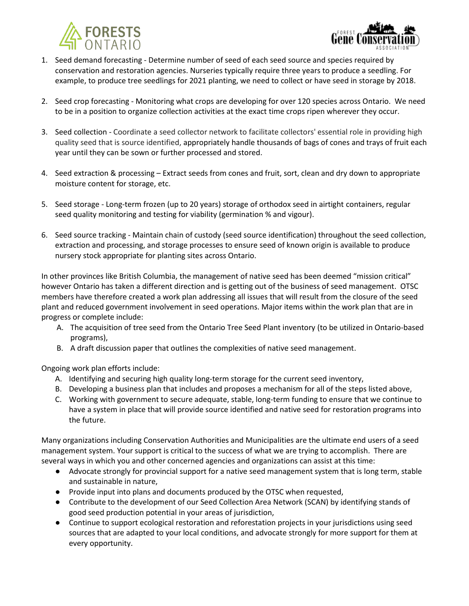



- 1. Seed demand forecasting Determine number of seed of each seed source and species required by conservation and restoration agencies. Nurseries typically require three years to produce a seedling. For example, to produce tree seedlings for 2021 planting, we need to collect or have seed in storage by 2018.
- 2. Seed crop forecasting Monitoring what crops are developing for over 120 species across Ontario. We need to be in a position to organize collection activities at the exact time crops ripen wherever they occur.
- 3. Seed collection Coordinate a seed collector network to facilitate collectors' essential role in providing high quality seed that is source identified, appropriately handle thousands of bags of cones and trays of fruit each year until they can be sown or further processed and stored.
- 4. Seed extraction & processing Extract seeds from cones and fruit, sort, clean and dry down to appropriate moisture content for storage, etc.
- 5. Seed storage Long-term frozen (up to 20 years) storage of orthodox seed in airtight containers, regular seed quality monitoring and testing for viability (germination % and vigour).
- 6. Seed source tracking Maintain chain of custody (seed source identification) throughout the seed collection, extraction and processing, and storage processes to ensure seed of known origin is available to produce nursery stock appropriate for planting sites across Ontario.

In other provinces like British Columbia, the management of native seed has been deemed "mission critical" however Ontario has taken a different direction and is getting out of the business of seed management. OTSC members have therefore created a work plan addressing all issues that will result from the closure of the seed plant and reduced government involvement in seed operations. Major items within the work plan that are in progress or complete include:

- A. The acquisition of tree seed from the Ontario Tree Seed Plant inventory (to be utilized in Ontario-based programs),
- B. A draft discussion paper that outlines the complexities of native seed management.

Ongoing work plan efforts include:

- A. Identifying and securing high quality long-term storage for the current seed inventory,
- B. Developing a business plan that includes and proposes a mechanism for all of the steps listed above,
- C. Working with government to secure adequate, stable, long-term funding to ensure that we continue to have a system in place that will provide source identified and native seed for restoration programs into the future.

Many organizations including Conservation Authorities and Municipalities are the ultimate end users of a seed management system. Your support is critical to the success of what we are trying to accomplish. There are several ways in which you and other concerned agencies and organizations can assist at this time:

- Advocate strongly for provincial support for a native seed management system that is long term, stable and sustainable in nature,
- Provide input into plans and documents produced by the OTSC when requested,
- Contribute to the development of our Seed Collection Area Network (SCAN) by identifying stands of good seed production potential in your areas of jurisdiction,
- Continue to support ecological restoration and reforestation projects in your jurisdictions using seed sources that are adapted to your local conditions, and advocate strongly for more support for them at every opportunity.